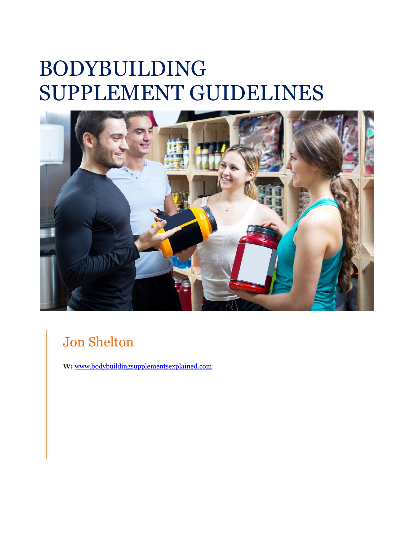## BODYBUILDING SUPPLEMENT GUIDELINES



### Jon Shelton

**W:** [www.bodybuildingsupplementsexplained.com](http://www.bodybuildingsupplementsexplained.com/)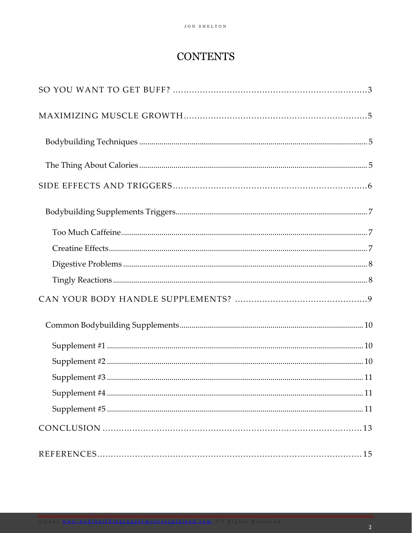### **CONTENTS**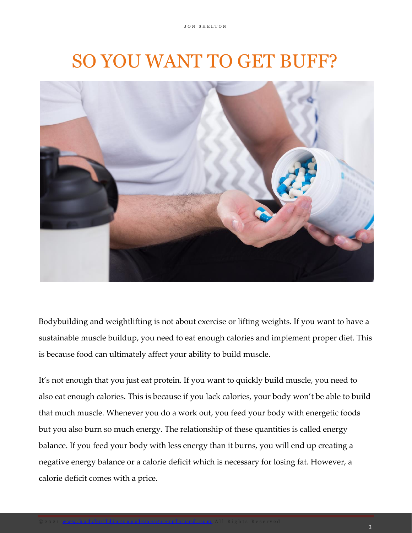## <span id="page-2-0"></span>SO YOU WANT TO GET BUFF?



Bodybuilding and weightlifting is not about exercise or lifting weights. If you want to have a sustainable muscle buildup, you need to eat enough calories and implement proper diet. This is because food can ultimately affect your ability to build muscle.

It's not enough that you just eat protein. If you want to quickly build muscle, you need to also eat enough calories. This is because if you lack calories, your body won't be able to build that much muscle. Whenever you do a work out, you feed your body with energetic foods but you also burn so much energy. The relationship of these quantities is called energy balance. If you feed your body with less energy than it burns, you will end up creating a negative energy balance or a calorie deficit which is necessary for losing fat. However, a calorie deficit comes with a price.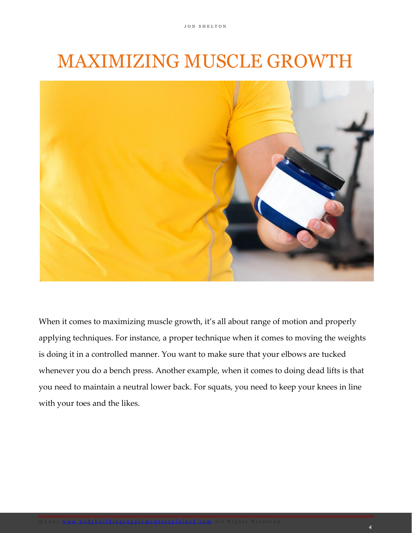## <span id="page-3-0"></span>MAXIMIZING MUSCLE GROWTH



When it comes to maximizing muscle growth, it's all about range of motion and properly applying techniques. For instance, a proper technique when it comes to moving the weights is doing it in a controlled manner. You want to make sure that your elbows are tucked whenever you do a bench press. Another example, when it comes to doing dead lifts is that you need to maintain a neutral lower back. For squats, you need to keep your knees in line with your toes and the likes.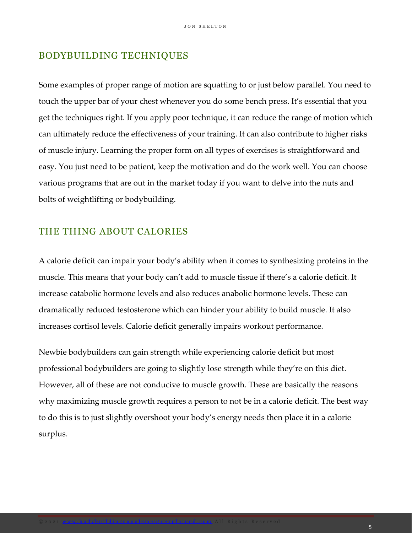#### <span id="page-4-0"></span>BODYBUILDING TECHNIQUES

Some examples of proper range of motion are squatting to or just below parallel. You need to touch the upper bar of your chest whenever you do some bench press. It's essential that you get the techniques right. If you apply poor technique, it can reduce the range of motion which can ultimately reduce the effectiveness of your training. It can also contribute to higher risks of muscle injury. Learning the proper form on all types of exercises is straightforward and easy. You just need to be patient, keep the motivation and do the work well. You can choose various programs that are out in the market today if you want to delve into the nuts and bolts of weightlifting or bodybuilding.

#### <span id="page-4-1"></span>THE THING ABOUT CALORIES

A calorie deficit can impair your body's ability when it comes to synthesizing proteins in the muscle. This means that your body can't add to muscle tissue if there's a calorie deficit. It increase catabolic hormone levels and also reduces anabolic hormone levels. These can dramatically reduced testosterone which can hinder your ability to build muscle. It also increases cortisol levels. Calorie deficit generally impairs workout performance.

Newbie bodybuilders can gain strength while experiencing calorie deficit but most professional bodybuilders are going to slightly lose strength while they're on this diet. However, all of these are not conducive to muscle growth. These are basically the reasons why maximizing muscle growth requires a person to not be in a calorie deficit. The best way to do this is to just slightly overshoot your body's energy needs then place it in a calorie surplus.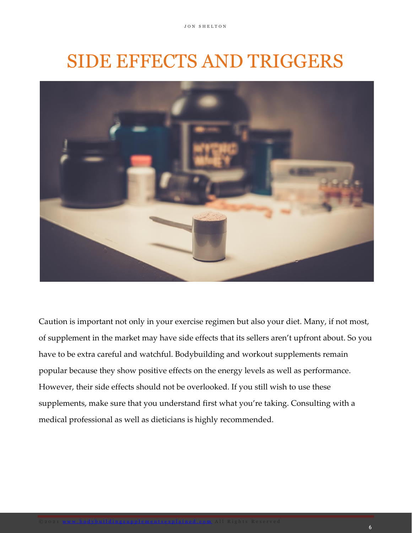## SIDE EFFECTS AND TRIGGERS

<span id="page-5-0"></span>

Caution is important not only in your exercise regimen but also your diet. Many, if not most, of supplement in the market may have side effects that its sellers aren't upfront about. So you have to be extra careful and watchful. Bodybuilding and workout supplements remain popular because they show positive effects on the energy levels as well as performance. However, their side effects should not be overlooked. If you still wish to use these supplements, make sure that you understand first what you're taking. Consulting with a medical professional as well as dieticians is highly recommended.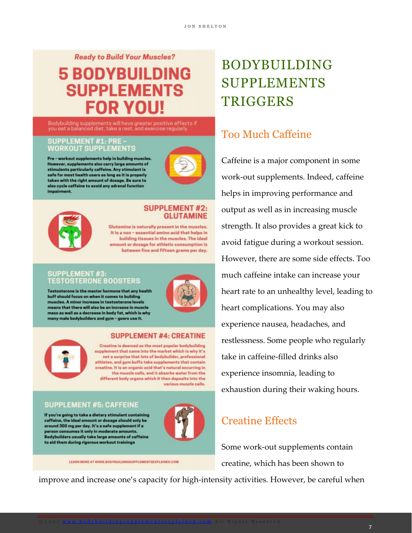#### **Ready to Build Your Muscles?**

### **5 BODYBUILDING SUPPLEMENTS FOR YOU!**

Bodybuilding supplements will have greater positive effects if<br>you eat a balanced diet, take a rest, and exercise regularly.

#### **SUPPLEMENT #1: PRE-WORKOUT SUPPLEMENTS**

Pre - workout supplements help in building muscles. However, supplements also carry large amounts of<br>stimulants particularly caffeine. Any stimulant is safe for most health users as long as it is properly taken with the right amount of dosage. Be sure to also cycle caffeine to avoid any adrenal function impairment.





#### **SUPPLEMENT #2: GLUTAMINE**

Glutamine is naturally present in the muscles. It is a non - essential amino acid that helps in building tissues in the muscles. The ideal amount or dosage for athletic consumption is between five and fifteen grams per day.

#### **SUPPLEMENT #3: TESTOSTERONE BOOSTERS**

Testosterone is the master hormone that any health buff should focus on when it comes to building muscles. A minor increase in testosterone levels means that there will also be an increase in muscle mass as well as a decrease in body fat, which is why many male bodybuilders and gym - goers use it.



#### **SUPPLEMENT #4: CREATINE**

Creatine is deemed as the most popular bodybuilding supplement that came into the market which is why it's not a surprise that lots of bodybuilder, professional athletes, and gym buffs take supplements that contain creatine. It is an organic acid that's natural occurring in the muscle cells, and it absorbs water from the different body organs which it then deposits into the various muscle cells.

#### **SUPPLEMENT #5: CAFFEINE**

If you're going to take a dietary stimulant containing caffeine, the ideal amount or dosage should only be around 300 mg per day. It's a safe supplement if a person consumes it only in moderate amounts. Bodybuilders usually take large amounts of caffeine to aid them during rigorous workout trainings



LEARN MORE AT WWW.BODYBUILDINGSUPPLEMENTSEXPLAINED.COM

## <span id="page-6-0"></span>BODYBUILDING SUPPLEMENTS **TRIGGERS**

### <span id="page-6-1"></span>Too Much Caffeine

Caffeine is a major component in some work-out supplements. Indeed, caffeine helps in improving performance and output as well as in increasing muscle strength. It also provides a great kick to avoid fatigue during a workout session. However, there are some side effects. Too much caffeine intake can increase your heart rate to an unhealthy level, leading to heart complications. You may also experience nausea, headaches, and restlessness. Some people who regularly take in caffeine-filled drinks also experience insomnia, leading to exhaustion during their waking hours.

### <span id="page-6-2"></span>Creatine Effects

Some work-out supplements contain creatine, which has been shown to

improve and increase one's capacity for high-intensity activities. However, be careful when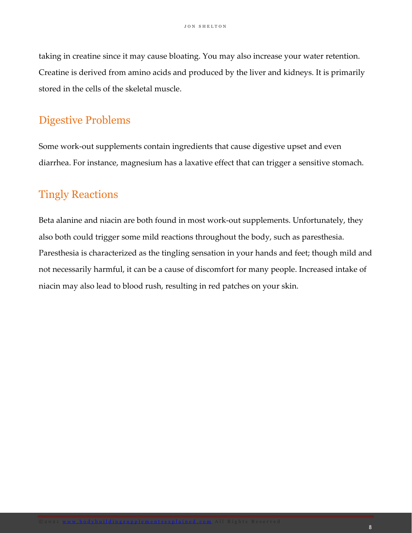taking in creatine since it may cause bloating. You may also increase your water retention. Creatine is derived from amino acids and produced by the liver and kidneys. It is primarily stored in the cells of the skeletal muscle.

### <span id="page-7-0"></span>Digestive Problems

Some work-out supplements contain ingredients that cause digestive upset and even diarrhea. For instance, magnesium has a laxative effect that can trigger a sensitive stomach.

### <span id="page-7-1"></span>Tingly Reactions

Beta alanine and niacin are both found in most work-out supplements. Unfortunately, they also both could trigger some mild reactions throughout the body, such as paresthesia. Paresthesia is characterized as the tingling sensation in your hands and feet; though mild and not necessarily harmful, it can be a cause of discomfort for many people. Increased intake of niacin may also lead to blood rush, resulting in red patches on your skin.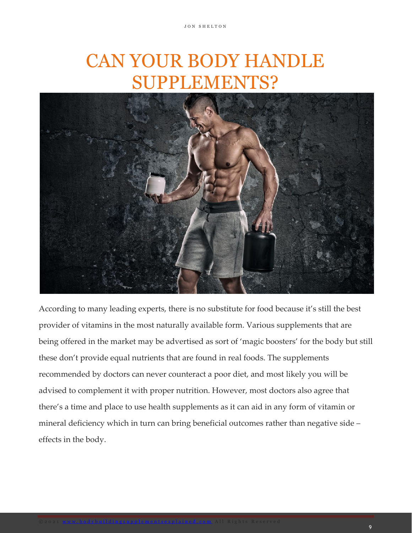## CAN YOUR BODY HANDLE SUPPLEMENTS?

<span id="page-8-0"></span>

According to many leading experts, there is no substitute for food because it's still the best provider of vitamins in the most naturally available form. Various supplements that are being offered in the market may be advertised as sort of 'magic boosters' for the body but still these don't provide equal nutrients that are found in real foods. The supplements recommended by doctors can never counteract a poor diet, and most likely you will be advised to complement it with proper nutrition. However, most doctors also agree that there's a time and place to use health supplements as it can aid in any form of vitamin or mineral deficiency which in turn can bring beneficial outcomes rather than negative side – effects in the body.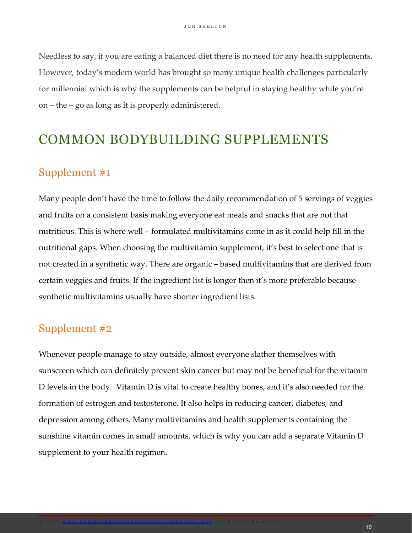Needless to say, if you are eating a balanced diet there is no need for any health supplements. However, today's modern world has brought so many unique health challenges particularly for millennial which is why the supplements can be helpful in staying healthy while you're on – the – go as long as it is properly administered.

### <span id="page-9-0"></span>COMMON BODYBUILDING SUPPLEMENTS

### <span id="page-9-1"></span>Supplement #1

Many people don't have the time to follow the daily recommendation of 5 servings of veggies and fruits on a consistent basis making everyone eat meals and snacks that are not that nutritious. This is where well – formulated multivitamins come in as it could help fill in the nutritional gaps. When choosing the multivitamin supplement, it's best to select one that is not created in a synthetic way. There are organic – based multivitamins that are derived from certain veggies and fruits. If the ingredient list is longer then it's more preferable because synthetic multivitamins usually have shorter ingredient lists.

### <span id="page-9-2"></span>Supplement #2

Whenever people manage to stay outside, almost everyone slather themselves with sunscreen which can definitely prevent skin cancer but may not be beneficial for the vitamin D levels in the body. Vitamin D is vital to create healthy bones, and it's also needed for the formation of estrogen and testosterone. It also helps in reducing cancer, diabetes, and depression among others. Many multivitamins and health supplements containing the sunshine vitamin comes in small amounts, which is why you can add a separate Vitamin D supplement to your health regimen.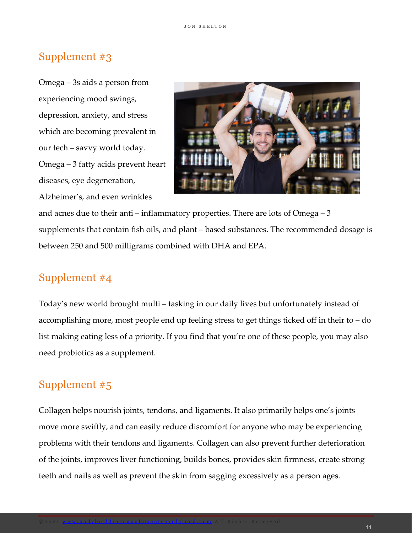### <span id="page-10-0"></span>Supplement #3

Omega – 3s aids a person from experiencing mood swings, depression, anxiety, and stress which are becoming prevalent in our tech – savvy world today. Omega – 3 fatty acids prevent heart diseases, eye degeneration, Alzheimer's, and even wrinkles

<span id="page-10-1"></span>

and acnes due to their anti – inflammatory properties. There are lots of Omega – 3 supplements that contain fish oils, and plant – based substances. The recommended dosage is between 250 and 500 milligrams combined with DHA and EPA.

### Supplement #4

Today's new world brought multi – tasking in our daily lives but unfortunately instead of accomplishing more, most people end up feeling stress to get things ticked off in their to – do list making eating less of a priority. If you find that you're one of these people, you may also need probiotics as a supplement.

### <span id="page-10-2"></span>Supplement #5

Collagen helps nourish joints, tendons, and ligaments. It also primarily helps one's joints move more swiftly, and can easily reduce discomfort for anyone who may be experiencing problems with their tendons and ligaments. Collagen can also prevent further deterioration of the joints, improves liver functioning, builds bones, provides skin firmness, create strong teeth and nails as well as prevent the skin from sagging excessively as a person ages.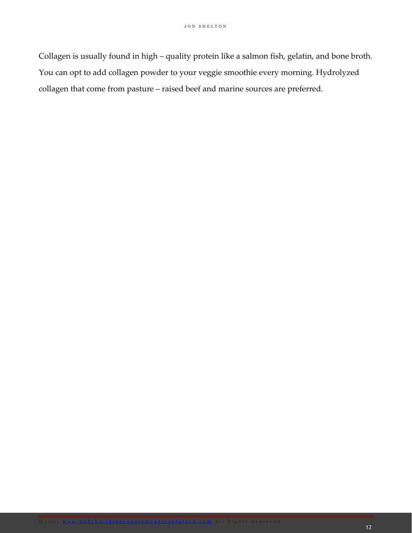Collagen is usually found in high – quality protein like a salmon fish, gelatin, and bone broth. You can opt to add collagen powder to your veggie smoothie every morning. Hydrolyzed collagen that come from pasture – raised beef and marine sources are preferred.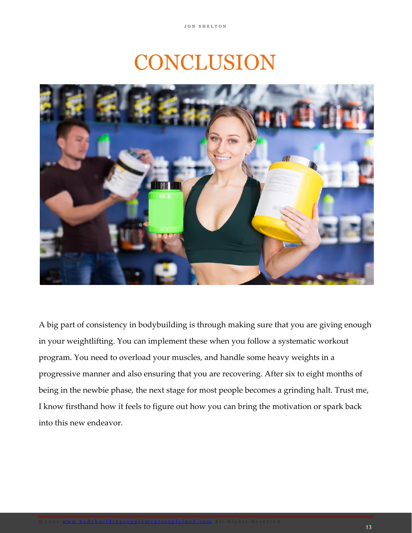## CONCLUSION

<span id="page-12-0"></span>

A big part of consistency in bodybuilding is through making sure that you are giving enough in your weightlifting. You can implement these when you follow a systematic workout program. You need to overload your muscles, and handle some heavy weights in a progressive manner and also ensuring that you are recovering. After six to eight months of being in the newbie phase, the next stage for most people becomes a grinding halt. Trust me, I know firsthand how it feels to figure out how you can bring the motivation or spark back into this new endeavor.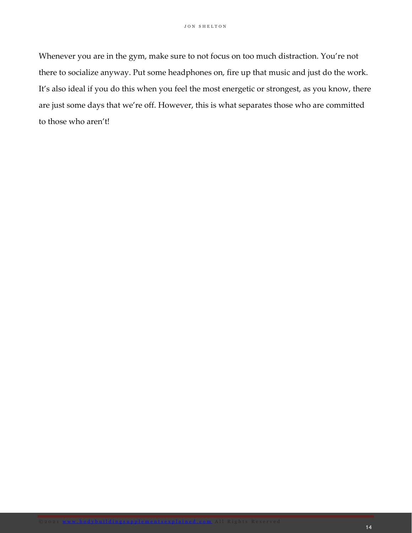Whenever you are in the gym, make sure to not focus on too much distraction. You're not there to socialize anyway. Put some headphones on, fire up that music and just do the work. It's also ideal if you do this when you feel the most energetic or strongest, as you know, there are just some days that we're off. However, this is what separates those who are committed to those who aren't!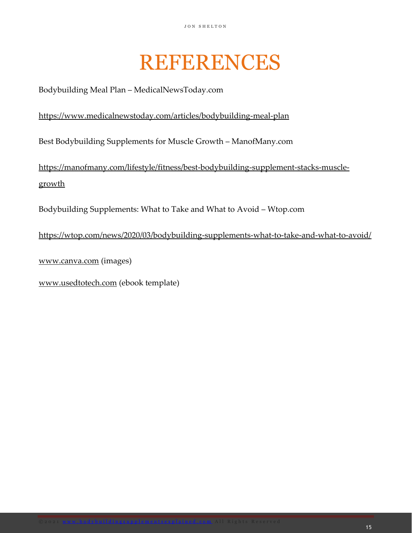## REFERENCES

<span id="page-14-0"></span>Bodybuilding Meal Plan – MedicalNewsToday.com

#### <https://www.medicalnewstoday.com/articles/bodybuilding-meal-plan>

Best Bodybuilding Supplements for Muscle Growth – ManofMany.com

[https://manofmany.com/lifestyle/fitness/best-bodybuilding-supplement-stacks-muscle](https://manofmany.com/lifestyle/fitness/best-bodybuilding-supplement-stacks-muscle-growth)[growth](https://manofmany.com/lifestyle/fitness/best-bodybuilding-supplement-stacks-muscle-growth)

Bodybuilding Supplements: What to Take and What to Avoid – Wtop.com

<https://wtop.com/news/2020/03/bodybuilding-supplements-what-to-take-and-what-to-avoid/>

[www.canva.com](http://www.canva.com/) (images)

[www.usedtotech.com](http://www.usedtotech.com/) (ebook template)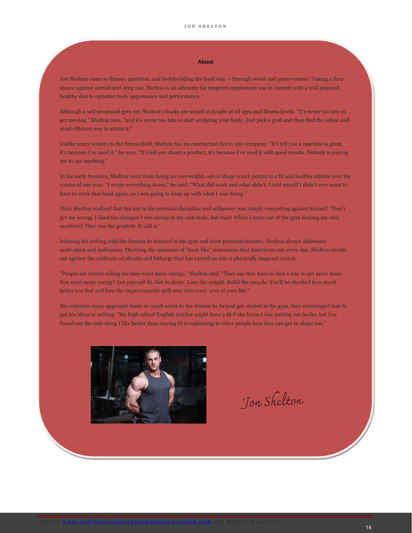#### **About**

Jon Shelton came to fitness, nutrition, and bodybuilding the hard way -- through sweat and perseverance. Taking a firm stance against steroid and drug use, Shelton is an advocate for targeted supplement use in concert with a well planned, healthy diet to optimize body appearance and performance.

Although a self-professed gym rat, Shelton's books are aimed at people of all ages and fitness levels. "It's never too late to get moving," Shelton says, "and it's never too late to start sculpting your body. Just pick a goal and then find the safest and most efficient way to attain it."

Unlike many writers in the fitness field, Shelton has no contractual ties to any company. "If I tell you a machine is great, it's because I've used it," he says. "If I tell you about a product, it's because I've used it with good results. Nobody is paying me to say anything."

In his early twenties, Shelton went from being an overweight, out of shape couch potato to a fit and healthy athlete over the course of one year. "I wrote everything down," he said. "What did work and what didn't. I told myself I didn't ever want to have to work that hard again, so I was going to keep up with what I was doing."

Then Shelton realized that the key to his personal discipline and willpower was simply competing against himself. "Don't get me wrong, I liked the changes I was seeing in my own body, but man! When I came out of the gym beating my own numbers? That was the greatest. It still is."

Infusing his writing with the lessons he learned in the gym and from personal trainers, Shelton always addresses motivation and dedication. Decrying the epidemic of "food-like" substances that Americans eat every day, Shelton speaks out against the epidemic of obesity and lethargy that has turned us into a physically stagnant nation.

"People are always telling me they want more energy," Shelton said. "They say they have to find a way to get more done. You want more energy? Get yourself fit. Get in shape. Lose the weight. Build the muscle. You'll be shocked how much better you feel and how the improvements spill over into every area of your life."

His common sense approach made so much sense to the friends he helped get started at the gym, they encouraged him to put his ideas in writing. "My high school English teacher might have a fit if she knew I was putting out books, but I've found out the only thing I like better than staying fit is explaining to other people how they can get in shape too."



Jon Shelton